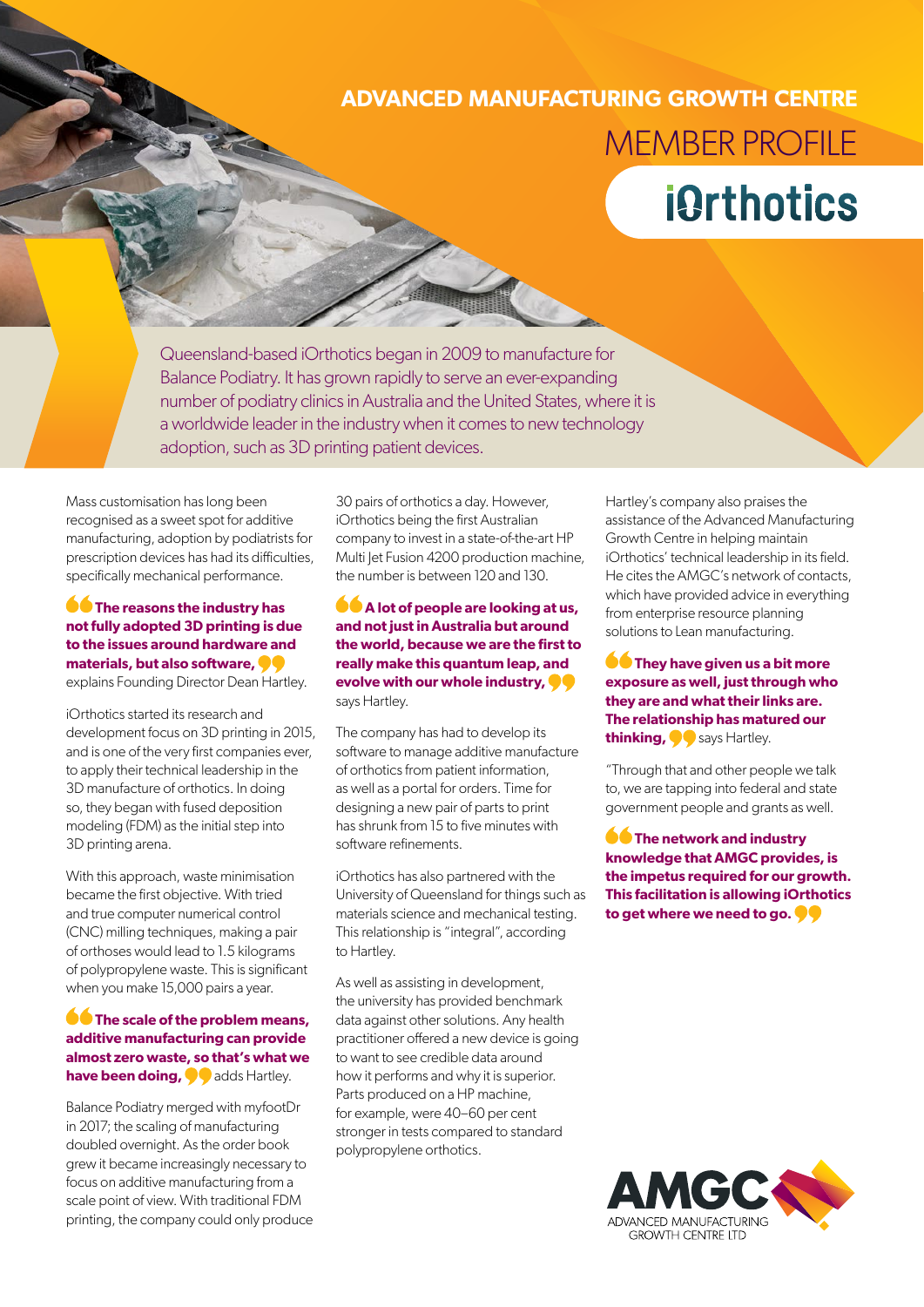## **ADVANCED MANUFACTURING GROWTH CENTRE** MEMBER PROFILE**iOrthotics**

Queensland-based iOrthotics began in 2009 to manufacture for Balance Podiatry. It has grown rapidly to serve an ever-expanding number of podiatry clinics in Australia and the United States, where it is a worldwide leader in the industry when it comes to new technology adoption, such as 3D printing patient devices.

Mass customisation has long been recognised as a sweet spot for additive manufacturing, adoption by podiatrists for prescription devices has had its difficulties, specifically mechanical performance.

## **CO** The reasons the industry has **not fully adopted 3D printing is due to the issues around hardware and materials, but also software,**  explains Founding Director Dean Hartley.

iOrthotics started its research and development focus on 3D printing in 2015, and is one of the very first companies ever, to apply their technical leadership in the 3D manufacture of orthotics. In doing so, they began with fused deposition modeling (FDM) as the initial step into 3D printing arena.

With this approach, waste minimisation became the first objective. With tried and true computer numerical control (CNC) milling techniques, making a pair of orthoses would lead to 1.5 kilograms of polypropylene waste. This is significant when you make 15,000 pairs a year.

## **<sup>** $\bullet$ **</sup> The scale of the problem means, additive manufacturing can provide almost zero waste, so that's what we have been doing,**  $\bigcirc$  adds Hartley.

Balance Podiatry merged with myfootDr in 2017; the scaling of manufacturing doubled overnight. As the order book grew it became increasingly necessary to focus on additive manufacturing from a scale point of view. With traditional FDM printing, the company could only produce 30 pairs of orthotics a day. However, iOrthotics being the first Australian company to invest in a state-of-the-art HP Multi Jet Fusion 4200 production machine, the number is between 120 and 130.

## **A** lot of people are looking at us, **and not just in Australia but around the world, because we are the first to really make this quantum leap, and evolve with our whole industry,**  says Hartley.

The company has had to develop its software to manage additive manufacture of orthotics from patient information, as well as a portal for orders. Time for designing a new pair of parts to print has shrunk from 15 to five minutes with software refinements.

iOrthotics has also partnered with the University of Queensland for things such as materials science and mechanical testing. This relationship is "integral", according to Hartley.

As well as assisting in development, the university has provided benchmark data against other solutions. Any health practitioner offered a new device is going to want to see credible data around how it performs and why it is superior. Parts produced on a HP machine, for example, were 40–60 per cent stronger in tests compared to standard polypropylene orthotics.

Hartley's company also praises the assistance of the Advanced Manufacturing Growth Centre in helping maintain iOrthotics' technical leadership in its field. He cites the AMGC's network of contacts, which have provided advice in everything from enterprise resource planning solutions to Lean manufacturing.

**They have given us a bit more exposure as well, just through who they are and what their links are. The relationship has matured our thinking,**  $\bigcirc$  says Hartley.

"Through that and other people we talk to, we are tapping into federal and state government people and grants as well.

**O** The network and industry **knowledge that AMGC provides, is the impetus required for our growth. This facilitation is allowing iOrthotics to get where we need to go.**